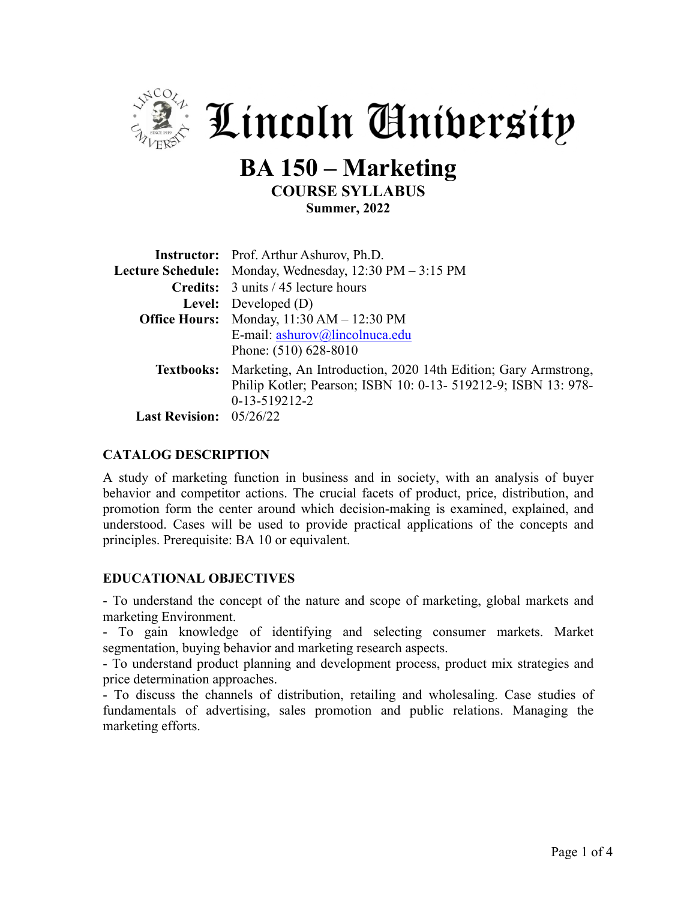

 $\frac{1}{2}$  Lincoln Anibersity

# **BA 150 – Marketing COURSE SYLLABUS Summer, 2022**

|                                | <b>Instructor:</b> Prof. Arthur Ashurov, Ph.D.                                                                                                                 |  |  |  |
|--------------------------------|----------------------------------------------------------------------------------------------------------------------------------------------------------------|--|--|--|
|                                | Lecture Schedule: Monday, Wednesday, 12:30 PM - 3:15 PM                                                                                                        |  |  |  |
|                                | <b>Credits:</b> 3 units / 45 lecture hours                                                                                                                     |  |  |  |
|                                | <b>Level:</b> Developed $(D)$                                                                                                                                  |  |  |  |
|                                | <b>Office Hours:</b> Monday, 11:30 AM - 12:30 PM                                                                                                               |  |  |  |
|                                | E-mail: ashurov@lincolnuca.edu<br>Phone: (510) 628-8010                                                                                                        |  |  |  |
|                                | Textbooks: Marketing, An Introduction, 2020 14th Edition; Gary Armstrong,<br>Philip Kotler; Pearson; ISBN 10: 0-13- 519212-9; ISBN 13: 978-<br>$0-13-519212-2$ |  |  |  |
| <b>Last Revision:</b> 05/26/22 |                                                                                                                                                                |  |  |  |

#### **CATALOG DESCRIPTION**

A study of marketing function in business and in society, with an analysis of buyer behavior and competitor actions. The crucial facets of product, price, distribution, and promotion form the center around which decision-making is examined, explained, and understood. Cases will be used to provide practical applications of the concepts and principles. Prerequisite: BA 10 or equivalent.

#### **EDUCATIONAL OBJECTIVES**

- To understand the concept of the nature and scope of marketing, global markets and marketing Environment.

- To gain knowledge of identifying and selecting consumer markets. Market segmentation, buying behavior and marketing research aspects.

- To understand product planning and development process, product mix strategies and price determination approaches.

- To discuss the channels of distribution, retailing and wholesaling. Case studies of fundamentals of advertising, sales promotion and public relations. Managing the marketing efforts.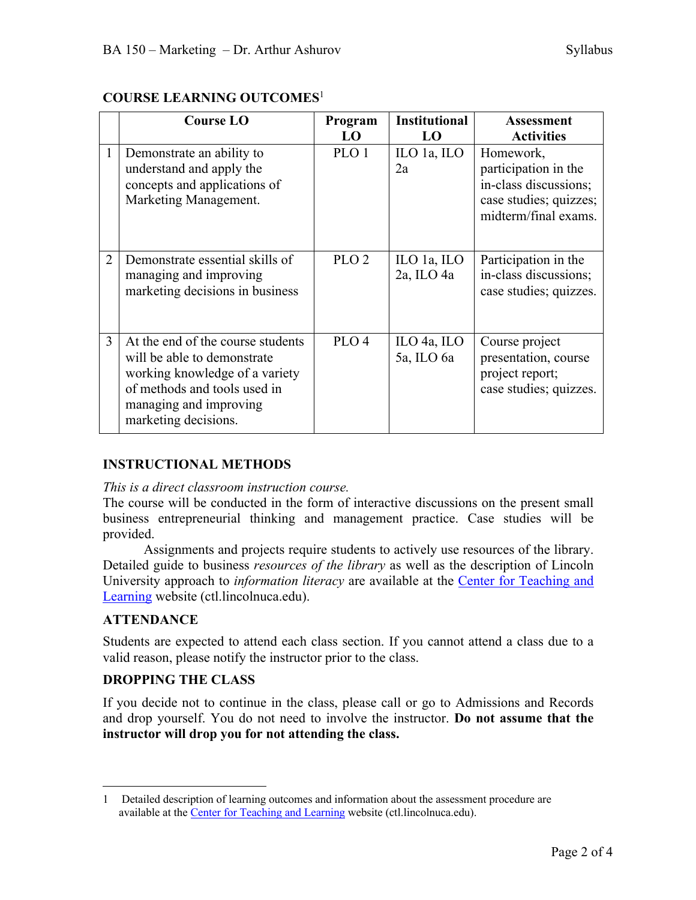|   | <b>Course LO</b>                                                                                                                                                                     | Program<br>LO    | <b>Institutional</b><br>LO                                    | <b>Assessment</b><br><b>Activities</b>                                                                       |
|---|--------------------------------------------------------------------------------------------------------------------------------------------------------------------------------------|------------------|---------------------------------------------------------------|--------------------------------------------------------------------------------------------------------------|
| 1 | Demonstrate an ability to<br>understand and apply the<br>concepts and applications of<br>Marketing Management.                                                                       | PLO 1            | ILO 1a, ILO<br>2a                                             | Homework,<br>participation in the<br>in-class discussions;<br>case studies; quizzes;<br>midterm/final exams. |
| 2 | Demonstrate essential skills of<br>managing and improving<br>marketing decisions in business                                                                                         | PLO <sub>2</sub> | ILO 1a, ILO<br>$2a$ , ILO $4a$                                | Participation in the<br>in-class discussions;<br>case studies; quizzes.                                      |
| 3 | At the end of the course students<br>will be able to demonstrate<br>working knowledge of a variety<br>of methods and tools used in<br>managing and improving<br>marketing decisions. | PLO <sub>4</sub> | $\mathop{\text{ILO}}$ 4a, $\mathop{\text{ILO}}$<br>5a, ILO 6a | Course project<br>presentation, course<br>project report;<br>case studies; quizzes.                          |

## **COURSE LEARNING OUTCOMES**<sup>1</sup>

## **INSTRUCTIONAL METHODS**

#### *This is a direct classroom instruction course.*

The course will be conducted in the form of interactive discussions on the present small business entrepreneurial thinking and management practice. Case studies will be provided.

Assignments and projects require students to actively use resources of the library. Detailed guide to business *resources of the library* as well as the description of Lincoln University approach to *information literacy* are available at the Center for Teaching and Learning website (ctl.lincolnuca.edu).

#### **ATTENDANCE**

Students are expected to attend each class section. If you cannot attend a class due to a valid reason, please notify the instructor prior to the class.

#### **DROPPING THE CLASS**

If you decide not to continue in the class, please call or go to Admissions and Records and drop yourself. You do not need to involve the instructor. **Do not assume that the instructor will drop you for not attending the class.**

<sup>1</sup> Detailed description of learning outcomes and information about the assessment procedure are available at the Center for Teaching and Learning website (ctl.lincolnuca.edu).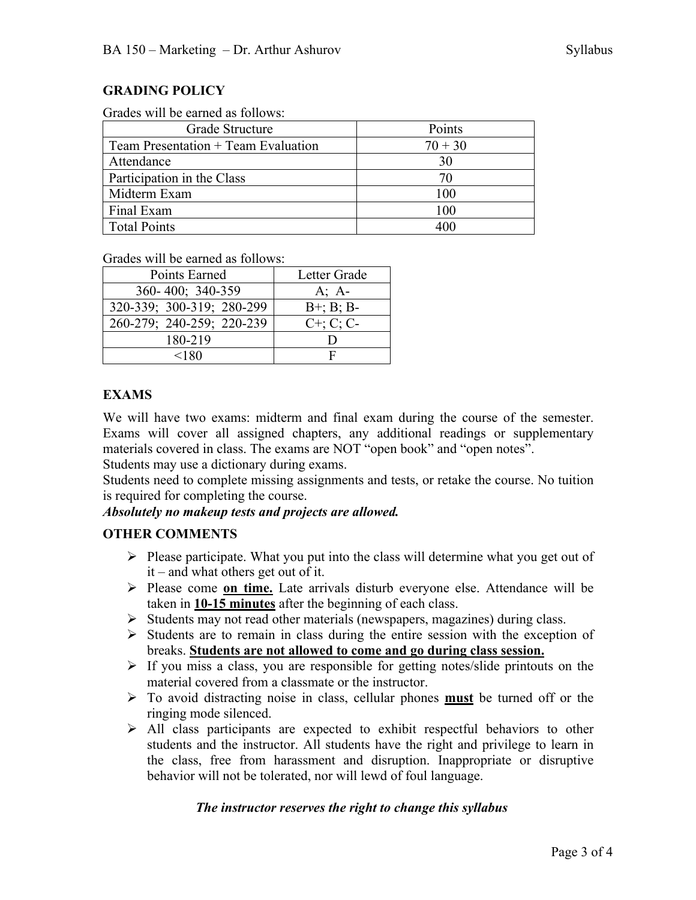Grades will be earned as follows:

| Grade Structure                       | Points    |
|---------------------------------------|-----------|
| Team Presentation $+$ Team Evaluation | $70 + 30$ |
| Attendance                            | 30        |
| Participation in the Class            |           |
| Midterm Exam                          | 100       |
| Final Exam                            | 100       |
| <b>Total Points</b>                   |           |

Grades will be earned as follows:

| Points Earned             | Letter Grade    |  |
|---------------------------|-----------------|--|
| 360-400; 340-359          | $A; A-$         |  |
| 320-339; 300-319; 280-299 | $B^{+}$ ; B; B- |  |
| 260-279; 240-259; 220-239 | $C^+$ ; C; C-   |  |
| 180-219                   |                 |  |
| <180                      | F               |  |

### **EXAMS**

We will have two exams: midterm and final exam during the course of the semester. Exams will cover all assigned chapters, any additional readings or supplementary materials covered in class. The exams are NOT "open book" and "open notes". Students may use a dictionary during exams.

Students need to complete missing assignments and tests, or retake the course. No tuition is required for completing the course.

#### *Absolutely no makeup tests and projects are allowed.*

## **OTHER COMMENTS**

- $\triangleright$  Please participate. What you put into the class will determine what you get out of it – and what others get out of it.
- Ø Please come **on time.** Late arrivals disturb everyone else. Attendance will be taken in **10-15 minutes** after the beginning of each class.
- Ø Students may not read other materials (newspapers, magazines) during class.
- $\triangleright$  Students are to remain in class during the entire session with the exception of breaks. **Students are not allowed to come and go during class session.**
- $\triangleright$  If you miss a class, you are responsible for getting notes/slide printouts on the material covered from a classmate or the instructor.
- Ø To avoid distracting noise in class, cellular phones **must** be turned off or the ringing mode silenced.
- $\triangleright$  All class participants are expected to exhibit respectful behaviors to other students and the instructor. All students have the right and privilege to learn in the class, free from harassment and disruption. Inappropriate or disruptive behavior will not be tolerated, nor will lewd of foul language.

#### *The instructor reserves the right to change this syllabus*